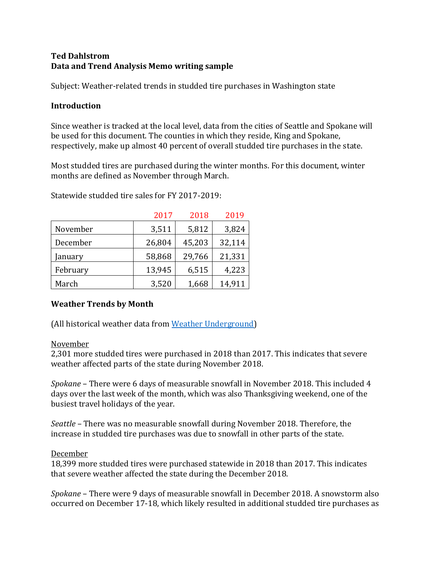# **Ted Dahlstrom Data and Trend Analysis Memo writing sample**

Subject: Weather-related trends in studded tire purchases in Washington state

#### **Introduction**

Since weather is tracked at the local level, data from the cities of Seattle and Spokane will be used for this document. The counties in which they reside, King and Spokane, respectively, make up almost 40 percent of overall studded tire purchases in the state.

Most studded tires are purchased during the winter months. For this document, winter months are defined as November through March.

|          | 2017   | 2018   | 2019   |
|----------|--------|--------|--------|
| November | 3,511  | 5,812  | 3,824  |
| December | 26,804 | 45,203 | 32,114 |
| January  | 58,868 | 29,766 | 21,331 |
| February | 13,945 | 6,515  | 4,223  |
| March    | 3,520  | 1,668  | 14,911 |

Statewide studded tire sales for FY 2017-2019:

# **Weather Trends by Month**

(All historical weather data from [Weather Underground\)](https://www.wunderground.com/)

#### November

2,301 more studded tires were purchased in 2018 than 2017. This indicates that severe weather affected parts of the state during November 2018.

*Spokane* – There were 6 days of measurable snowfall in November 2018. This included 4 days over the last week of the month, which was also Thanksgiving weekend, one of the busiest travel holidays of the year.

*Seattle* – There was no measurable snowfall during November 2018. Therefore, the increase in studded tire purchases was due to snowfall in other parts of the state.

# December

18,399 more studded tires were purchased statewide in 2018 than 2017. This indicates that severe weather affected the state during the December 2018.

*Spokane* – There were 9 days of measurable snowfall in December 2018. A snowstorm also occurred on December 17-18, which likely resulted in additional studded tire purchases as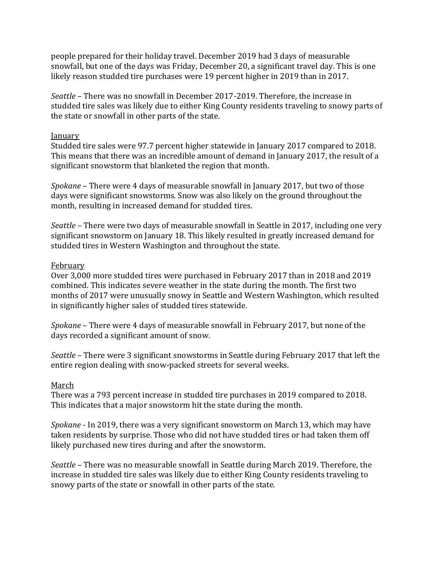people prepared for their holiday travel. December 2019 had 3 days of measurable snowfall, but one of the days was Friday, December 20, a significant travel day. This is one likely reason studded tire purchases were 19 percent higher in 2019 than in 2017.

*Seattle* – There was no snowfall in December 2017-2019. Therefore, the increase in studded tire sales was likely due to either King County residents traveling to snowy parts of the state or snowfall in other parts of the state.

#### January

Studded tire sales were 97.7 percent higher statewide in January 2017 compared to 2018. This means that there was an incredible amount of demand in January 2017, the result of a significant snowstorm that blanketed the region that month.

*Spokane* – There were 4 days of measurable snowfall in January 2017, but two of those days were significant snowstorms. Snow was also likely on the ground throughout the month, resulting in increased demand for studded tires.

*Seattle* – There were two days of measurable snowfall in Seattle in 2017, including one very significant snowstorm on January 18. This likely resulted in greatly increased demand for studded tires in Western Washington and throughout the state.

#### February

Over 3,000 more studded tires were purchased in February 2017 than in 2018 and 2019 combined. This indicates severe weather in the state during the month. The first two months of 2017 were unusually snowy in Seattle and Western Washington, which resulted in significantly higher sales of studded tires statewide.

*Spokane* – There were 4 days of measurable snowfall in February 2017, but none of the days recorded a significant amount of snow.

*Seattle* – There were 3 significant snowstorms in Seattle during February 2017 that left the entire region dealing with snow-packed streets for several weeks.

# March

There was a 793 percent increase in studded tire purchases in 2019 compared to 2018. This indicates that a major snowstorm hit the state during the month.

*Spokane* - In 2019, there was a very significant snowstorm on March 13, which may have taken residents by surprise. Those who did not have studded tires or had taken them off likely purchased new tires during and after the snowstorm.

*Seattle* – There was no measurable snowfall in Seattle during March 2019. Therefore, the increase in studded tire sales was likely due to either King County residents traveling to snowy parts of the state or snowfall in other parts of the state.